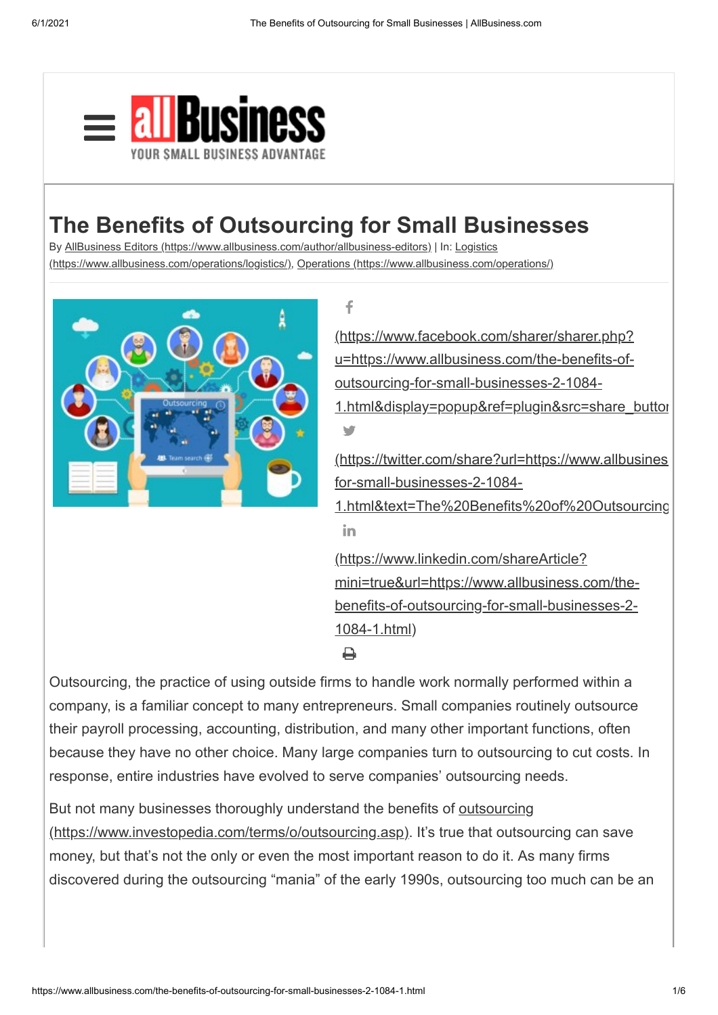

## **The Benefits of Outsourcing for Small Businesses**

By [AllBusiness Editors \(https://www.allbusiness.com/author/allbusiness-editors\)](https://www.allbusiness.com/author/allbusiness-editors) | In: Logistics

[\(https://www.allbusiness.com/operations/logistics/\), Operations \(https://www.allbusiness.com/](https://www.allbusiness.com/operations/logistics/)[operations/\)](https://www.allbusiness.com/operations/)



f (https://www.facebook.com/sharer/sharer.php? u=https://www.allbusiness.com/the-benefits-ofoutsourcing-for-small-businesses-2-1084- 1.html&display=popup&ref=plugin&src=share\_buttor V (https://twitter.com/share?url=https://www.allbusines for-small-businesses-2-1084- [1.html&text=The%20Benefits%20of%20Outsourcing](https://twitter.com/share?url=https://www.allbusiness.com/the-benefits-of-outsourcing-for-small-businesses-2-1084-1.html&text=The%20Benefits%20of%20Outsourcing%20for%20Small%20Businesses) in. (https://www.linkedin.com/shareArticle? [mini=true&url=https://www.allbusiness.com/the](https://www.linkedin.com/shareArticle?mini=true&url=https://www.allbusiness.com/the-benefits-of-outsourcing-for-small-businesses-2-1084-1.html)benefits-of-outsourcing-for-small-businesses-2- 1084-1.html) Д

Outsourcing, the practice of using outside firms to handle work normally performed within a company, is a familiar concept to many entrepreneurs. Small companies routinely outsource their payroll processing, accounting, distribution, and many other important functions, often because they have no other choice. Many large companies turn to outsourcing to cut costs. In response, entire industries have evolved to serve companies' outsourcing needs.

But not many businesses thoroughly understand the benefits of **outsourcing** (https://www.investopedia.com/terms/o/outsourcing.asp). It's true that outsourcing can save money, but that's not the only or even the most important reason to do it. As many firms discovered during the outsourcing "mania" of the early 1990s, outsourcing too much can be an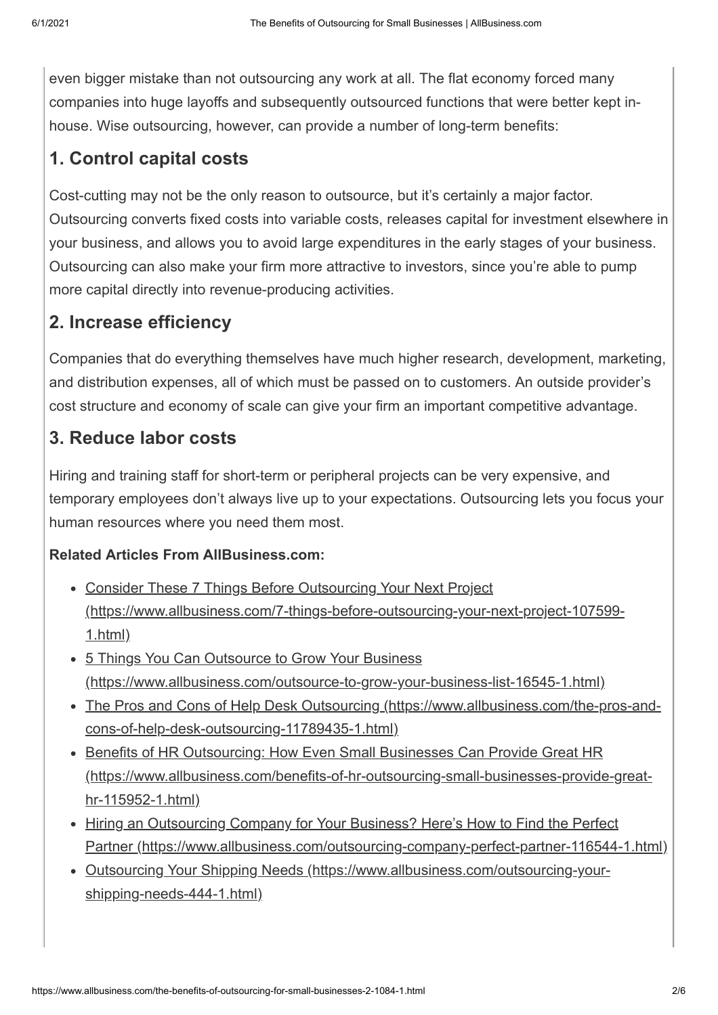even bigger mistake than not outsourcing any work at all. The flat economy forced many companies into huge layoffs and subsequently outsourced functions that were better kept inhouse. Wise outsourcing, however, can provide a number of long-term benefits:

#### **1. Control capital costs**

Cost-cutting may not be the only reason to outsource, but it's certainly a major factor. Outsourcing converts fixed costs into variable costs, releases capital for investment elsewhere in your business, and allows you to avoid large expenditures in the early stages of your business. Outsourcing can also make your firm more attractive to investors, since you're able to pump more capital directly into revenue-producing activities.

#### **2. Increase efficiency**

Companies that do everything themselves have much higher research, development, marketing, and distribution expenses, all of which must be passed on to customers. An outside provider's cost structure and economy of scale can give your firm an important competitive advantage.

### **3. Reduce labor costs**

Hiring and training staff for short-term or peripheral projects can be very expensive, and temporary employees don't always live up to your expectations. Outsourcing lets you focus your human resources where you need them most.

#### **Related Articles From AllBusiness.com:**

- Consider These 7 Things Before Outsourcing Your Next Project [\(https://www.allbusiness.com/7-things-before-outsourcing-your-next-project-107599-](https://www.allbusiness.com/7-things-before-outsourcing-your-next-project-107599-1.html) 1.html)
- 5 Things You Can Outsource to Grow Your Business [\(https://www.allbusiness.com/outsource-to-grow-your-business-list-16545-1.html\)](https://www.allbusiness.com/outsource-to-grow-your-business-list-16545-1.html)
- [The Pros and Cons of Help Desk Outsourcing \(https://www.allbusiness.com/the-pros-and](https://www.allbusiness.com/the-pros-and-cons-of-help-desk-outsourcing-11789435-1.html)cons-of-help-desk-outsourcing-11789435-1.html)
- Benefits of HR Outsourcing: How Even Small Businesses Can Provide Great HR [\(https://www.allbusiness.com/benefits-of-hr-outsourcing-small-businesses-provide-great](https://www.allbusiness.com/benefits-of-hr-outsourcing-small-businesses-provide-great-hr-115952-1.html)hr-115952-1.html)
- Hiring an Outsourcing Company for Your Business? Here's How to Find the Perfect [Partner \(https://www.allbusiness.com/outsourcing-company-perfect-partner-116544-1.html\)](https://www.allbusiness.com/outsourcing-company-perfect-partner-116544-1.html)
- [Outsourcing Your Shipping Needs \(https://www.allbusiness.com/outsourcing-your](https://www.allbusiness.com/outsourcing-your-shipping-needs-444-1.html)shipping-needs-444-1.html)